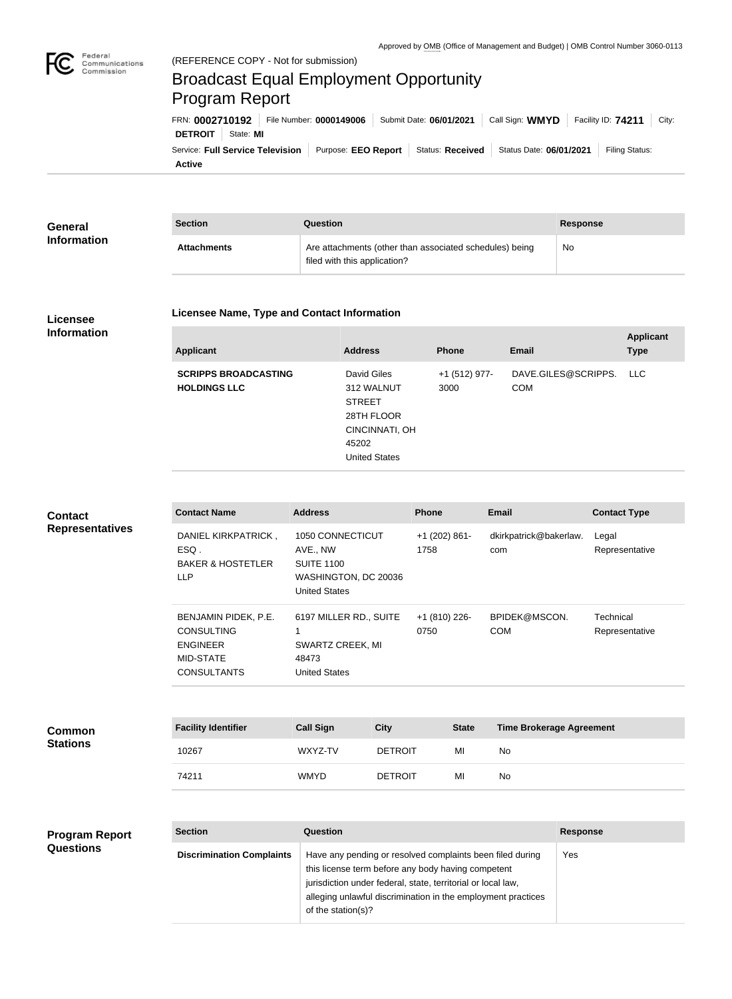

## Broadcast Equal Employment Opportunity Program Report

**Active** Service: Full Service Television | Purpose: EEO Report | Status: Received | Status Date: 06/01/2021 | Filing Status: **DETROIT** | State: **MI** FRN: **0002710192** File Number: **0000149006** Submit Date: **06/01/2021** Call Sign: **WMYD** Facility ID: **74211** City:

| General            | <b>Section</b>     | Question                                                                                | Response |
|--------------------|--------------------|-----------------------------------------------------------------------------------------|----------|
| <b>Information</b> | <b>Attachments</b> | Are attachments (other than associated schedules) being<br>filed with this application? | No       |

## **Licensee Information**

## **Licensee Name, Type and Contact Information**

| <b>Applicant</b>                                   | <b>Address</b>                                                                                              | <b>Phone</b>          | <b>Email</b>                      | <b>Applicant</b><br><b>Type</b> |
|----------------------------------------------------|-------------------------------------------------------------------------------------------------------------|-----------------------|-----------------------------------|---------------------------------|
| <b>SCRIPPS BROADCASTING</b><br><b>HOLDINGS LLC</b> | David Giles<br>312 WALNUT<br><b>STREET</b><br>28TH FLOOR<br>CINCINNATI, OH<br>45202<br><b>United States</b> | +1 (512) 977-<br>3000 | DAVE.GILES@SCRIPPS.<br><b>COM</b> | LLC                             |

| <b>Contact</b><br><b>Representatives</b> | <b>Contact Name</b>                                                                                    | <b>Address</b>                                                                                                                                                                                                                                  |                | <b>Phone</b>            |                                                 | <b>Email</b>                  |                 | <b>Contact Type</b>         |
|------------------------------------------|--------------------------------------------------------------------------------------------------------|-------------------------------------------------------------------------------------------------------------------------------------------------------------------------------------------------------------------------------------------------|----------------|-------------------------|-------------------------------------------------|-------------------------------|-----------------|-----------------------------|
|                                          | DANIEL KIRKPATRICK,<br>ESQ.<br><b>BAKER &amp; HOSTETLER</b><br><b>LLP</b>                              | 1050 CONNECTICUT<br>AVE., NW<br><b>SUITE 1100</b><br>WASHINGTON, DC 20036<br><b>United States</b>                                                                                                                                               |                | $+1$ (202) 861-<br>1758 |                                                 | dkirkpatrick@bakerlaw.<br>com |                 | Legal<br>Representative     |
|                                          | BENJAMIN PIDEK, P.E.<br><b>CONSULTING</b><br><b>ENGINEER</b><br><b>MID-STATE</b><br><b>CONSULTANTS</b> | 6197 MILLER RD., SUITE<br>1<br>SWARTZ CREEK, MI<br>48473<br><b>United States</b>                                                                                                                                                                |                | +1 (810) 226-<br>0750   |                                                 | BPIDEK@MSCON.<br><b>COM</b>   |                 | Technical<br>Representative |
|                                          |                                                                                                        |                                                                                                                                                                                                                                                 |                |                         |                                                 |                               |                 |                             |
| <b>Common</b><br><b>Stations</b>         | <b>Facility Identifier</b>                                                                             | <b>Call Sign</b>                                                                                                                                                                                                                                | <b>City</b>    |                         | <b>Time Brokerage Agreement</b><br><b>State</b> |                               |                 |                             |
|                                          | 10267                                                                                                  | WXYZ-TV                                                                                                                                                                                                                                         | <b>DETROIT</b> |                         | MI                                              | <b>No</b>                     |                 |                             |
|                                          | 74211                                                                                                  | <b>WMYD</b>                                                                                                                                                                                                                                     | <b>DETROIT</b> |                         | MI                                              | No                            |                 |                             |
|                                          |                                                                                                        |                                                                                                                                                                                                                                                 |                |                         |                                                 |                               |                 |                             |
| <b>Program Report</b><br>Questions       | <b>Section</b>                                                                                         | <b>Question</b>                                                                                                                                                                                                                                 |                |                         |                                                 |                               | <b>Response</b> |                             |
|                                          | <b>Discrimination Complaints</b>                                                                       | Have any pending or resolved complaints been filed during<br>this license term before any body having competent<br>jurisdiction under federal, state, territorial or local law,<br>alleging unlawful discrimination in the employment practices |                |                         |                                                 |                               | Yes             |                             |

of the station(s)?